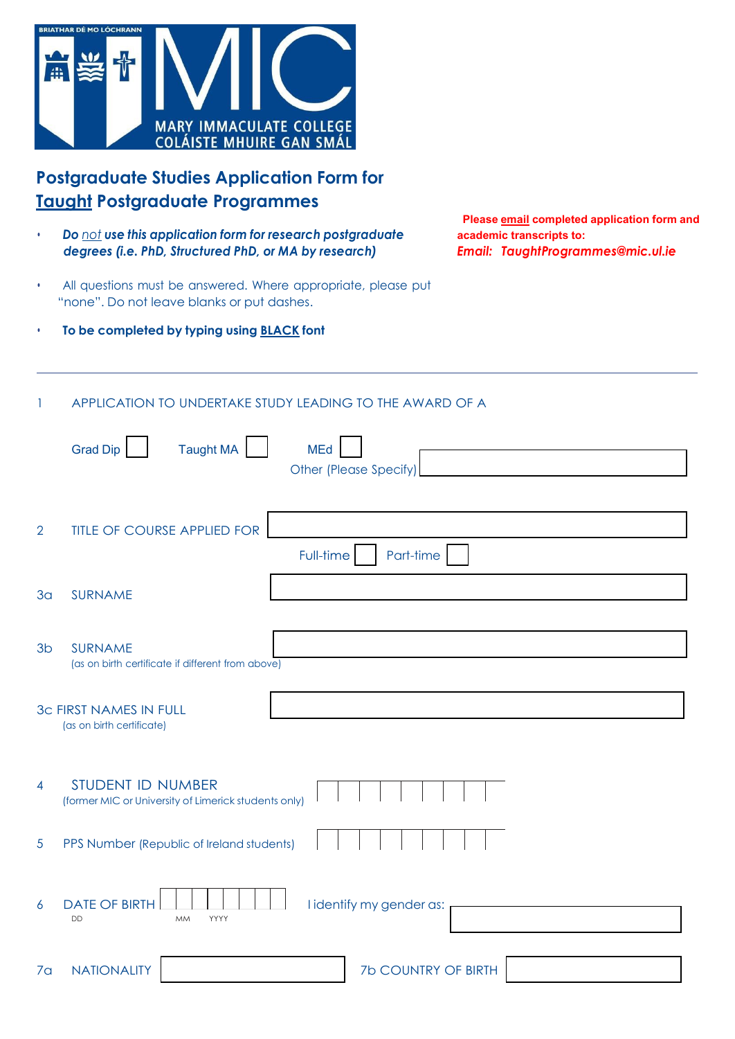

# **Postgraduate Studies Application Form for Taught Postgraduate Programmes**

- *Do not use this application form for research postgraduate* **academic transcripts to:** *degrees (i.e. PhD, Structured PhD, or MA by research) Email: [TaughtProgrammes@mic.ul.ie](mailto:TaughtProgrammes@mic.ul.ie)*
- All questions must be answered. Where appropriate, please put "none". Do not leave blanks or put dashes.
- **To be completed by typing using BLACK font**

**Please email completed application form and**

#### 1 APPLICATION TO UNDERTAKE STUDY LEADING TO THE AWARD OF A

|                | <b>Taught MA</b><br><b>Grad Dip</b><br><b>MEd</b><br>Other (Please Specify) |
|----------------|-----------------------------------------------------------------------------|
| $\overline{2}$ | <b>TITLE OF COURSE APPLIED FOR</b><br>Full-time<br>Part-time                |
| 3 <sub>a</sub> | <b>SURNAME</b>                                                              |
| 3 <sub>b</sub> | <b>SURNAME</b><br>(as on birth certificate if different from above)         |
|                | <b>3c FIRST NAMES IN FULL</b><br>(as on birth certificate)                  |
| $\overline{4}$ | STUDENT ID NUMBER<br>(former MIC or University of Limerick students only)   |
| $\overline{5}$ | PPS Number (Republic of Ireland students)                                   |
| 6              | <b>DATE OF BIRTH</b><br>I identify my gender as:<br>DD<br>YYYY<br><b>MM</b> |
| 7 <sub>a</sub> | <b>NATIONALITY</b><br><b>7b COUNTRY OF BIRTH</b>                            |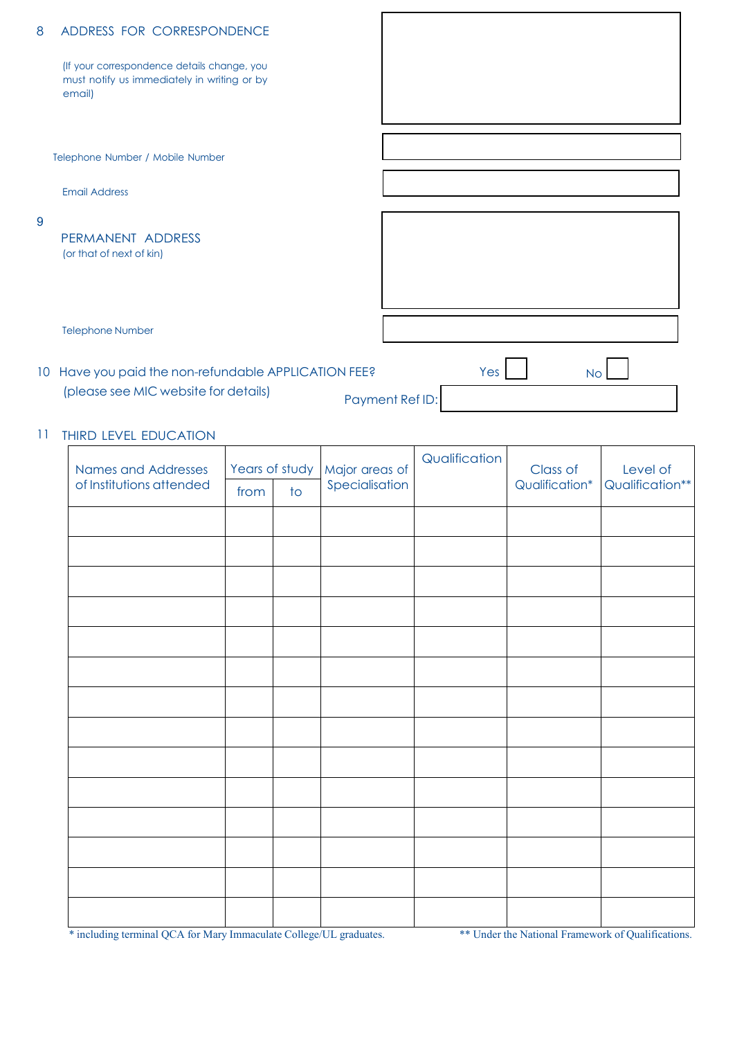| 8 | ADDRESS FOR CORRESPONDENCE                                                                           |                 |     |           |
|---|------------------------------------------------------------------------------------------------------|-----------------|-----|-----------|
|   | (If your correspondence details change, you<br>must notify us immediately in writing or by<br>email) |                 |     |           |
|   |                                                                                                      |                 |     |           |
|   | Telephone Number / Mobile Number                                                                     |                 |     |           |
|   |                                                                                                      |                 |     |           |
|   | <b>Email Address</b>                                                                                 |                 |     |           |
| 9 |                                                                                                      |                 |     |           |
|   | PERMANENT ADDRESS                                                                                    |                 |     |           |
|   | (or that of next of kin)                                                                             |                 |     |           |
|   |                                                                                                      |                 |     |           |
|   |                                                                                                      |                 |     |           |
|   |                                                                                                      |                 |     |           |
|   | <b>Telephone Number</b>                                                                              |                 |     |           |
|   | 10 Have you paid the non-refundable APPLICATION FEE?                                                 |                 | Yes | <b>No</b> |
|   | (please see MIC website for details)                                                                 | Payment Ref ID: |     |           |
|   |                                                                                                      |                 |     |           |

#### 11 THIRD LEVEL EDUCATION

| Names and Addresses      | Years of study |                 | Major areas of | Qualification | Class of       | Level of        |
|--------------------------|----------------|-----------------|----------------|---------------|----------------|-----------------|
| of Institutions attended | from           | $\overline{10}$ | Specialisation |               | Qualification* | Qualification** |
|                          |                |                 |                |               |                |                 |
|                          |                |                 |                |               |                |                 |
|                          |                |                 |                |               |                |                 |
|                          |                |                 |                |               |                |                 |
|                          |                |                 |                |               |                |                 |
|                          |                |                 |                |               |                |                 |
|                          |                |                 |                |               |                |                 |
|                          |                |                 |                |               |                |                 |
|                          |                |                 |                |               |                |                 |
|                          |                |                 |                |               |                |                 |
|                          |                |                 |                |               |                |                 |
|                          |                |                 |                |               |                |                 |
|                          |                |                 |                |               |                |                 |
|                          |                |                 |                |               |                |                 |

\* including terminal QCA for Mary Immaculate College/UL graduates. \*\*\* Under the National Framework of Qualifications.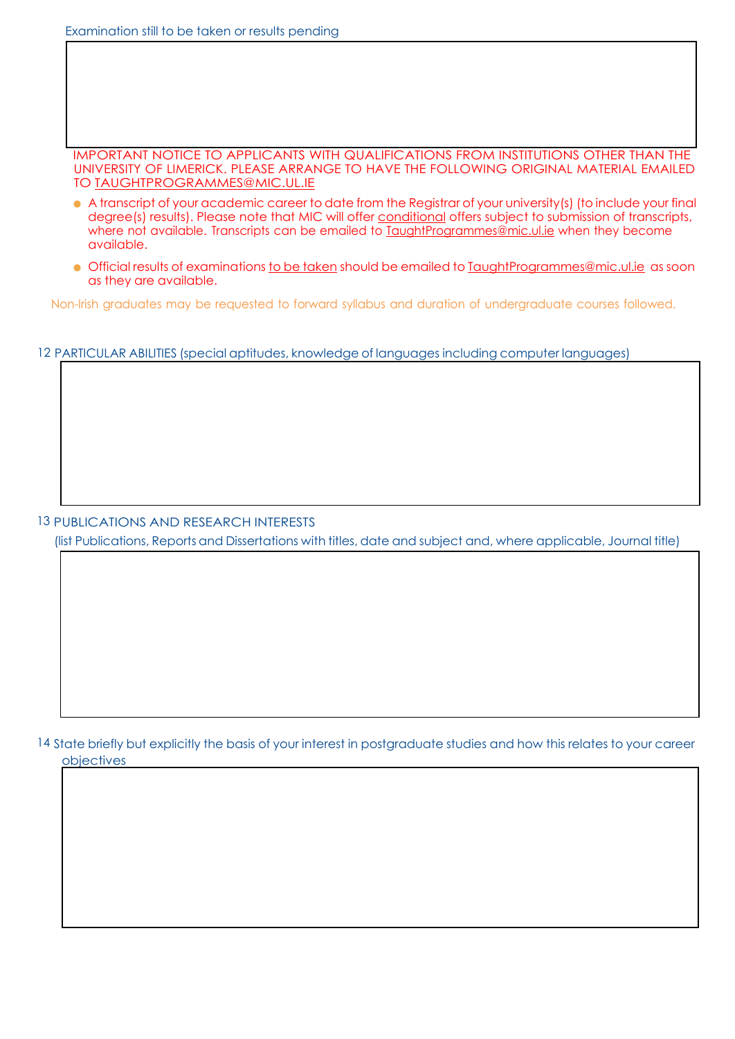Examination still to be taken or results pending

IMPORTANT NOTICE TO APPLICANTS WITH QUALIFICATIONS FROM INSTITUTIONS OTHER THAN THE UNIVERSITY OF LIMERICK. PLEASE ARRANGE TO HAVE THE FOLLOWING ORIGINAL MATERIAL EMAILED TO [TAUGHTPROGRAMMES@MIC.UL.IE](mailto:TAUGHTPROGRAMMES@MIC.UL.IE)

- A transcript of your academic career to date from the Registrar of your university(s) (to include your final degree(s) results). Please note that MIC will offer conditional offers subject to submission of transcripts, where not available. Transcripts can be emailed to [TaughtProgrammes@mic.ul.ie](mailto:TaughtProgrammes@mic.ul.ie) when they become available.
- Official results of examinations to be taken should be emailed to [TaughtProgrammes@mic.ul.ie](mailto:TaughtProgrammes@mic.ul.ie) as soon as they are available.

Non-Irish graduates may be requested to forward syllabus and duration of undergraduate courses followed.

12 PARTICULAR ABILITIES (special aptitudes, knowledge of languages including computer languages)

13 PUBLICATIONS AND RESEARCH INTERESTS

(list Publications, Reports and Dissertations with titles, date and subject and, where applicable, Journal title)

14 State briefly but explicitly the basis of your interest in postgraduate studies and how this relates to your career objectives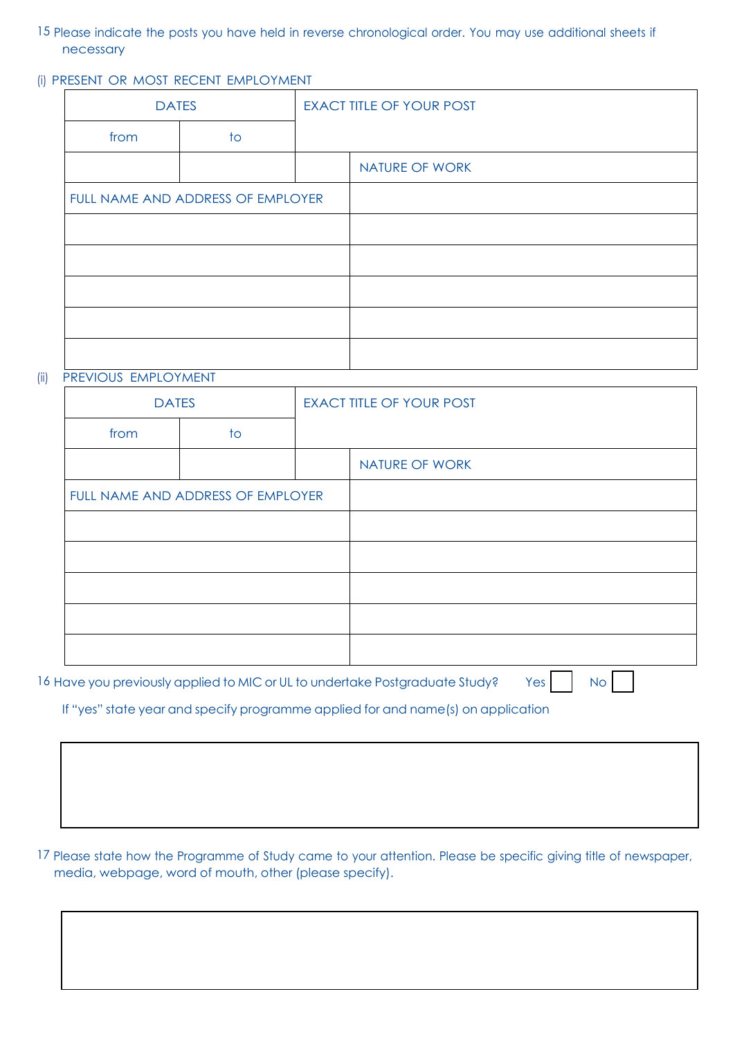- 15 Please indicate the posts you have held in reverse chronological order. You may use additional sheets if necessary
- (i) PRESENT OR MOST RECENT EMPLOYMENT

| <b>DATES</b>                      |    | <b>EXACT TITLE OF YOUR POST</b> |                |
|-----------------------------------|----|---------------------------------|----------------|
| from                              | to |                                 |                |
|                                   |    |                                 | NATURE OF WORK |
| FULL NAME AND ADDRESS OF EMPLOYER |    |                                 |                |
|                                   |    |                                 |                |
|                                   |    |                                 |                |
|                                   |    |                                 |                |
|                                   |    |                                 |                |
|                                   |    |                                 |                |

#### (ii) PREVIOUS EMPLOYMENT

| <b>DATES</b> |                                   | <b>EXACT TITLE OF YOUR POST</b> |
|--------------|-----------------------------------|---------------------------------|
| from         | $\overline{\mathsf{1}}$           |                                 |
|              |                                   | NATURE OF WORK                  |
|              | FULL NAME AND ADDRESS OF EMPLOYER |                                 |
|              |                                   |                                 |
|              |                                   |                                 |
|              |                                   |                                 |
|              |                                   |                                 |
|              |                                   |                                 |
|              |                                   |                                 |

16 Have you previously applied to MIC or UL to undertake Postgraduate Study? Yes No No

If "yes" state year and specify programme applied for and name(s) on application

17 Please state how the Programme of Study came to your attention. Please be specific giving title of newspaper, media, webpage, word of mouth, other (please specify).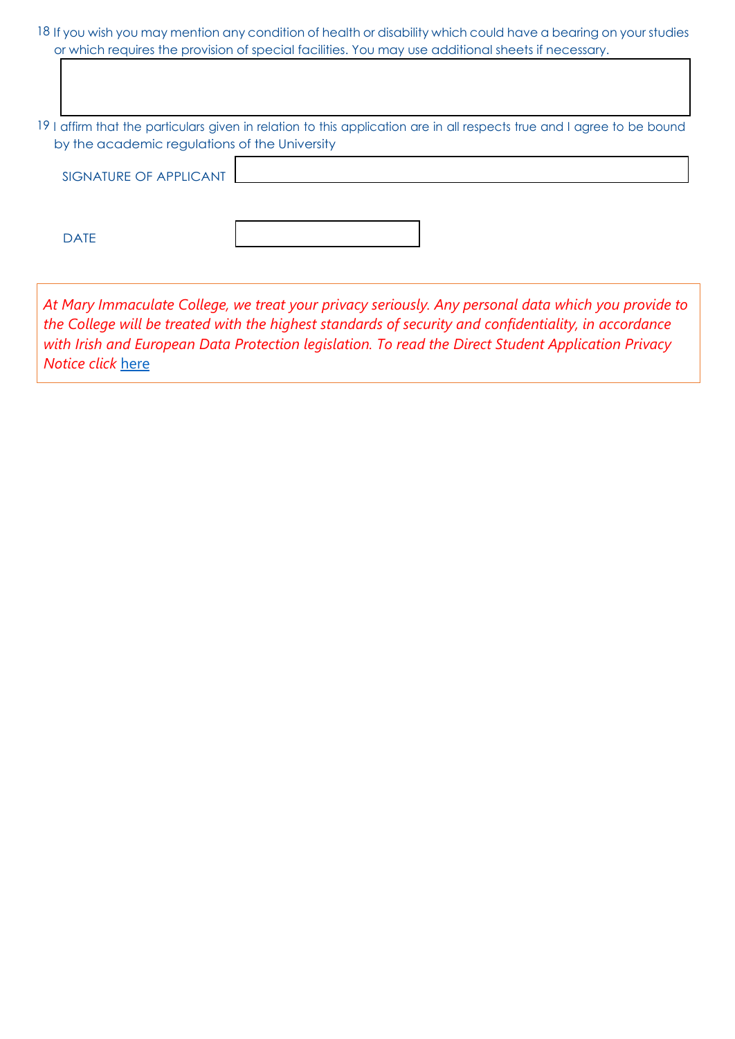| 18 If you wish you may mention any condition of health or disability which could have a bearing on your studies |  |
|-----------------------------------------------------------------------------------------------------------------|--|
| or which requires the provision of special facilities. You may use additional sheets if necessary.              |  |

19 I affirm that the particulars given in relation to this application are in all respects true and I agree to be bound by the academic regulations of the University

DATE

*At Mary Immaculate College, we treat your privacy seriously. Any personal data which you provide to the College will be treated with the highest standards of security and confidentiality, in accordance with Irish and European Data Protection legislation. To read the Direct Student Application Privacy Notice click* [here](https://www.mic.ul.ie/sites/default/files/uploads/461/Direct%20Student%20Application%20Privacy%20Notice_1.pdf)